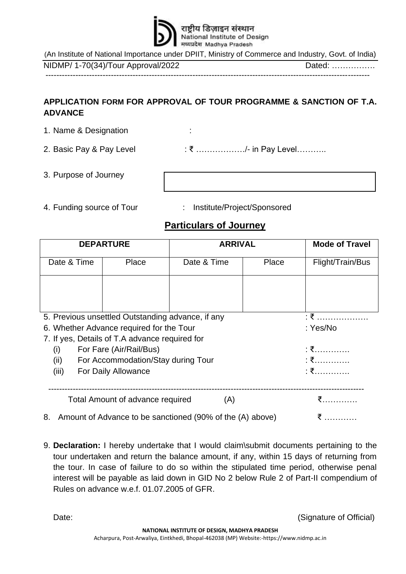

(An Institute of National Importance under DPIIT, [Ministry of Commerce and Industry,](https://en.wikipedia.org/wiki/Ministry_of_Commerce_and_Industry_(India)) Govt. of India)

NIDMP/ 1-70(34)/Tour Approval/2022 Dated: ……………. -----------------------------------------------------------------------------------------------------------------------

## **APPLICATION FORM FOR APPROVAL OF TOUR PROGRAMME & SANCTION OF T.A. ADVANCE**

- 1. Name & Designation : 2. Basic Pay & Pay Level : ₹ ....................../- in Pay Level.............
- 3. Purpose of Journey :
- 4. Funding source of Tour : Institute/Project/Sponsored
	-

## **Particulars of Journey**

| <b>DEPARTURE</b>                                                |       | <b>ARRIVAL</b> |       | <b>Mode of Travel</b> |
|-----------------------------------------------------------------|-------|----------------|-------|-----------------------|
| Date & Time                                                     | Place | Date & Time    | Place | Flight/Train/Bus      |
|                                                                 |       |                |       |                       |
|                                                                 |       |                |       |                       |
|                                                                 |       |                |       |                       |
| 5. Previous unsettled Outstanding advance, if any               |       |                |       | $: \mathfrak{F}$      |
| 6. Whether Advance required for the Tour                        |       |                |       | : Yes/No              |
| 7. If yes, Details of T.A advance required for                  |       |                |       |                       |
| For Fare (Air/Rail/Bus)<br>(i)                                  |       |                |       | :₹……………               |
| (ii)<br>For Accommodation/Stay during Tour                      |       |                |       | : ₹                   |
| (iii)<br>For Daily Allowance                                    |       |                |       | : ₹                   |
|                                                                 |       |                |       |                       |
| Total Amount of advance required<br>(A)                         |       |                |       | ₹                     |
| Amount of Advance to be sanctioned (90% of the (A) above)<br>8. |       |                |       |                       |

9. **Declaration:** I hereby undertake that I would claim\submit documents pertaining to the tour undertaken and return the balance amount, if any, within 15 days of returning from the tour. In case of failure to do so within the stipulated time period, otherwise penal interest will be payable as laid down in GID No 2 below Rule 2 of Part-II compendium of Rules on advance w.e.f. 01.07.2005 of GFR.

Date: (Signature of Official)